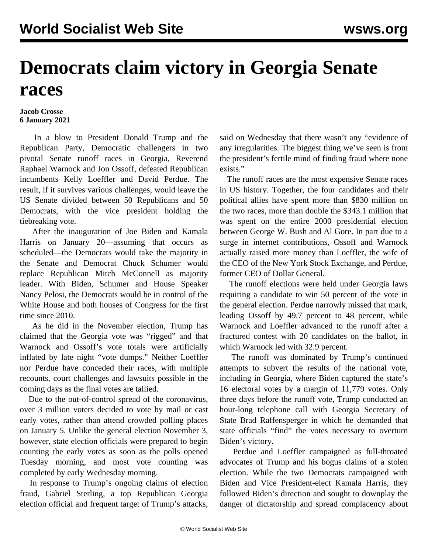## **Democrats claim victory in Georgia Senate races**

## **Jacob Crosse 6 January 2021**

 In a blow to President Donald Trump and the Republican Party, Democratic challengers in two pivotal Senate runoff races in Georgia, Reverend Raphael Warnock and Jon Ossoff, defeated Republican incumbents Kelly Loeffler and David Perdue. The result, if it survives various challenges, would leave the US Senate divided between 50 Republicans and 50 Democrats, with the vice president holding the tiebreaking vote.

 After the inauguration of Joe Biden and Kamala Harris on January 20—assuming that occurs as scheduled—the Democrats would take the majority in the Senate and Democrat Chuck Schumer would replace Republican Mitch McConnell as majority leader. With Biden, Schumer and House Speaker Nancy Pelosi, the Democrats would be in control of the White House and both houses of Congress for the first time since 2010.

 As he did in the November election, Trump has claimed that the Georgia vote was "rigged" and that Warnock and Ossoff's vote totals were artificially inflated by late night "vote dumps." Neither Loeffler nor Perdue have conceded their races, with multiple recounts, court challenges and lawsuits possible in the coming days as the final votes are tallied.

 Due to the out-of-control spread of the coronavirus, over 3 million voters decided to vote by mail or cast early votes, rather than attend crowded polling places on January 5. Unlike the general election November 3, however, state election officials were prepared to begin counting the early votes as soon as the polls opened Tuesday morning, and most vote counting was completed by early Wednesday morning.

 In response to Trump's ongoing claims of election fraud, Gabriel Sterling, a top Republican Georgia election official and frequent target of Trump's attacks, said on Wednesday that there wasn't any "evidence of any irregularities. The biggest thing we've seen is from the president's fertile mind of finding fraud where none exists."

 The runoff races are the most expensive Senate races in US history. Together, the four candidates and their political allies have spent more than \$830 million on the two races, more than double the \$343.1 million that was spent on the entire 2000 presidential election between George W. Bush and Al Gore. In part due to a surge in internet contributions, Ossoff and Warnock actually raised more money than Loeffler, the wife of the CEO of the New York Stock Exchange, and Perdue, former CEO of Dollar General.

 The runoff elections were held under Georgia laws requiring a candidate to win 50 percent of the vote in the general election. Perdue narrowly missed that mark, leading Ossoff by 49.7 percent to 48 percent, while Warnock and Loeffler advanced to the runoff after a fractured contest with 20 candidates on the ballot, in which Warnock led with 32.9 percent.

 The runoff was dominated by Trump's continued attempts to subvert the results of the national vote, including in Georgia, where Biden captured the state's 16 electoral votes by a margin of 11,779 votes. Only three days before the runoff vote, Trump conducted an hour-long telephone call with Georgia Secretary of State Brad Raffensperger in which he demanded that state officials "find" the votes necessary to overturn Biden's victory.

 Perdue and Loeffler campaigned as full-throated advocates of Trump and his bogus claims of a stolen election. While the two Democrats campaigned with Biden and Vice President-elect Kamala Harris, they followed Biden's direction and sought to downplay the danger of dictatorship and spread complacency about